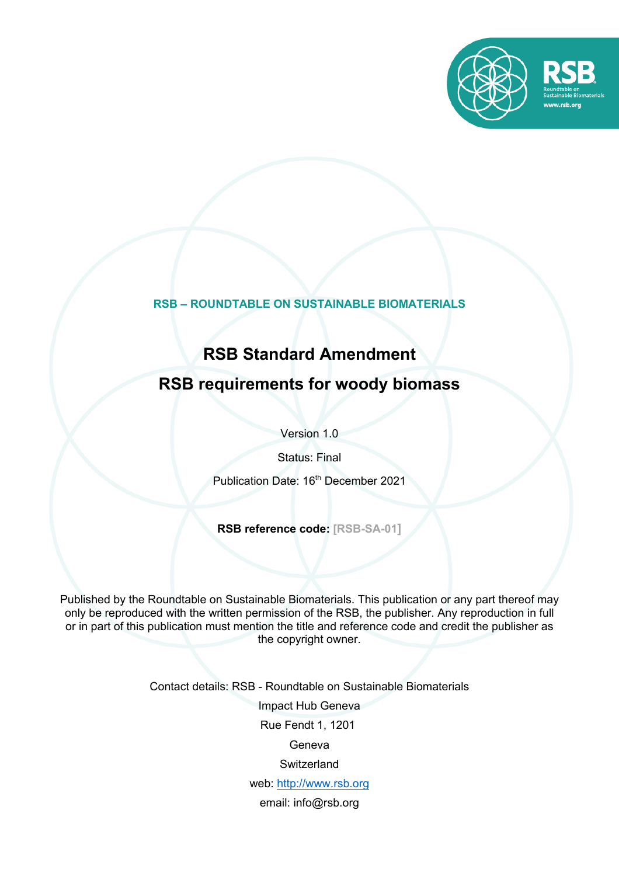

# **RSB – ROUNDTABLE ON SUSTAINABLE BIOMATERIALS**

# **RSB Standard Amendment**

# **RSB requirements for woody biomass**

Version 1.0

Status: Final

Publication Date: 16<sup>th</sup> December 2021

**RSB reference code: [RSB-SA-01]**

Published by the Roundtable on Sustainable Biomaterials. This publication or any part thereof may only be reproduced with the written permission of the RSB, the publisher. Any reproduction in full or in part of this publication must mention the title and reference code and credit the publisher as the copyright owner.

Contact details: RSB - Roundtable on Sustainable Biomaterials

Impact Hub Geneva

Rue Fendt 1, 1201

Geneva

**Switzerland** 

web: http://www.rsb.org

email: info@rsb.org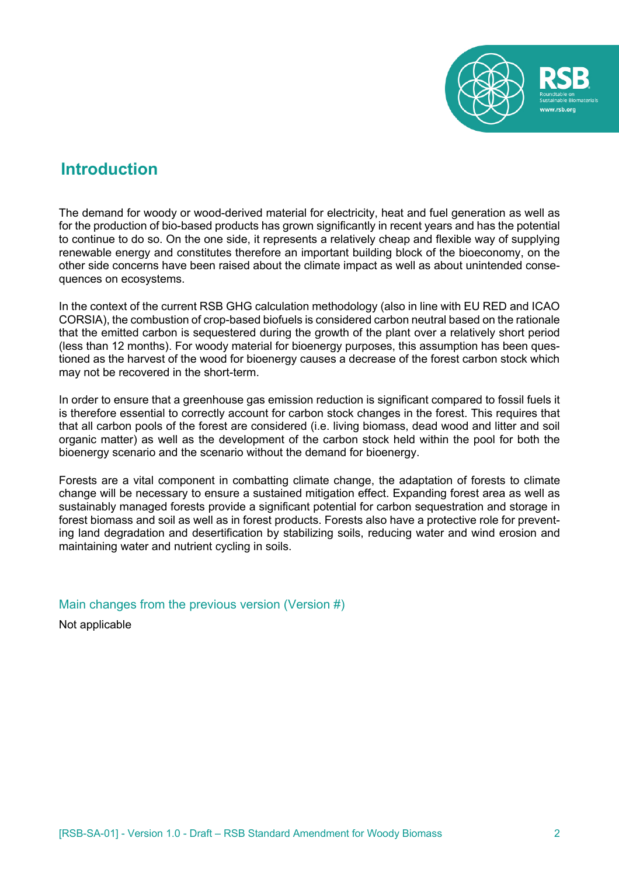

# **Introduction**

The demand for woody or wood-derived material for electricity, heat and fuel generation as well as for the production of bio-based products has grown significantly in recent years and has the potential to continue to do so. On the one side, it represents a relatively cheap and flexible way of supplying renewable energy and constitutes therefore an important building block of the bioeconomy, on the other side concerns have been raised about the climate impact as well as about unintended consequences on ecosystems.

In the context of the current RSB GHG calculation methodology (also in line with EU RED and ICAO CORSIA), the combustion of crop-based biofuels is considered carbon neutral based on the rationale that the emitted carbon is sequestered during the growth of the plant over a relatively short period (less than 12 months). For woody material for bioenergy purposes, this assumption has been questioned as the harvest of the wood for bioenergy causes a decrease of the forest carbon stock which may not be recovered in the short-term.

In order to ensure that a greenhouse gas emission reduction is significant compared to fossil fuels it is therefore essential to correctly account for carbon stock changes in the forest. This requires that that all carbon pools of the forest are considered (i.e. living biomass, dead wood and litter and soil organic matter) as well as the development of the carbon stock held within the pool for both the bioenergy scenario and the scenario without the demand for bioenergy.

Forests are a vital component in combatting climate change, the adaptation of forests to climate change will be necessary to ensure a sustained mitigation effect. Expanding forest area as well as sustainably managed forests provide a significant potential for carbon sequestration and storage in forest biomass and soil as well as in forest products. Forests also have a protective role for preventing land degradation and desertification by stabilizing soils, reducing water and wind erosion and maintaining water and nutrient cycling in soils.

Main changes from the previous version (Version #)

Not applicable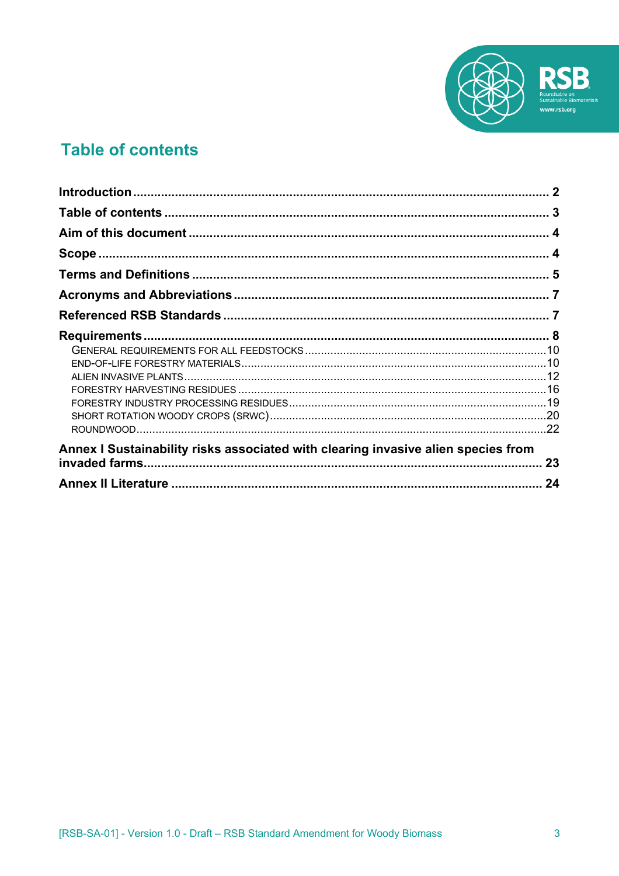

# **Table of contents**

| Annex I Sustainability risks associated with clearing invasive alien species from |  |
|-----------------------------------------------------------------------------------|--|
|                                                                                   |  |
|                                                                                   |  |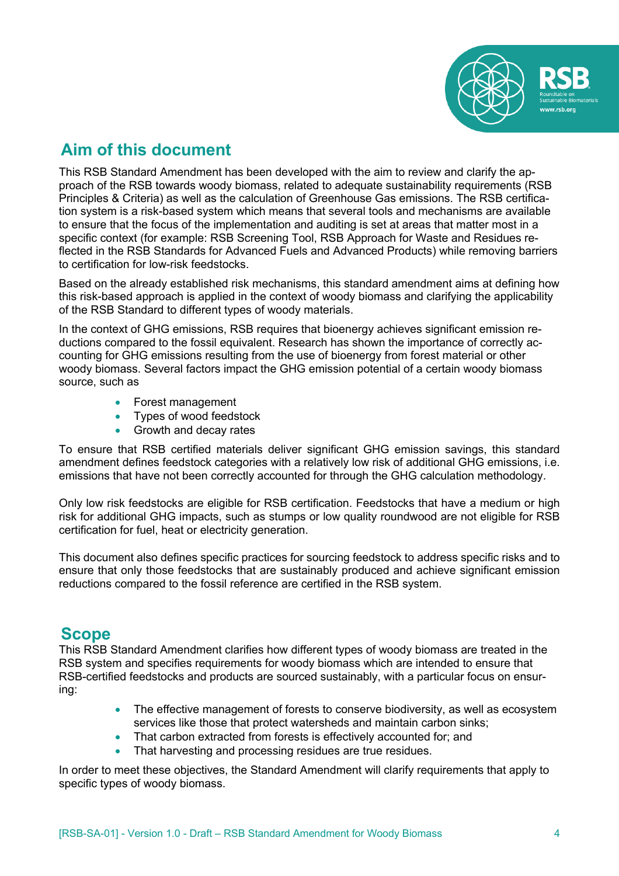

# **Aim of this document**

This RSB Standard Amendment has been developed with the aim to review and clarify the approach of the RSB towards woody biomass, related to adequate sustainability requirements (RSB Principles & Criteria) as well as the calculation of Greenhouse Gas emissions. The RSB certification system is a risk-based system which means that several tools and mechanisms are available to ensure that the focus of the implementation and auditing is set at areas that matter most in a specific context (for example: RSB Screening Tool, RSB Approach for Waste and Residues reflected in the RSB Standards for Advanced Fuels and Advanced Products) while removing barriers to certification for low-risk feedstocks.

Based on the already established risk mechanisms, this standard amendment aims at defining how this risk-based approach is applied in the context of woody biomass and clarifying the applicability of the RSB Standard to different types of woody materials.

In the context of GHG emissions, RSB requires that bioenergy achieves significant emission reductions compared to the fossil equivalent. Research has shown the importance of correctly accounting for GHG emissions resulting from the use of bioenergy from forest material or other woody biomass. Several factors impact the GHG emission potential of a certain woody biomass source, such as

- Forest management
- Types of wood feedstock
- Growth and decay rates

To ensure that RSB certified materials deliver significant GHG emission savings, this standard amendment defines feedstock categories with a relatively low risk of additional GHG emissions, i.e. emissions that have not been correctly accounted for through the GHG calculation methodology.

Only low risk feedstocks are eligible for RSB certification. Feedstocks that have a medium or high risk for additional GHG impacts, such as stumps or low quality roundwood are not eligible for RSB certification for fuel, heat or electricity generation.

This document also defines specific practices for sourcing feedstock to address specific risks and to ensure that only those feedstocks that are sustainably produced and achieve significant emission reductions compared to the fossil reference are certified in the RSB system.

# **Scope**

This RSB Standard Amendment clarifies how different types of woody biomass are treated in the RSB system and specifies requirements for woody biomass which are intended to ensure that RSB-certified feedstocks and products are sourced sustainably, with a particular focus on ensuring:

- The effective management of forests to conserve biodiversity, as well as ecosystem services like those that protect watersheds and maintain carbon sinks;
- That carbon extracted from forests is effectively accounted for; and
- That harvesting and processing residues are true residues.

In order to meet these objectives, the Standard Amendment will clarify requirements that apply to specific types of woody biomass.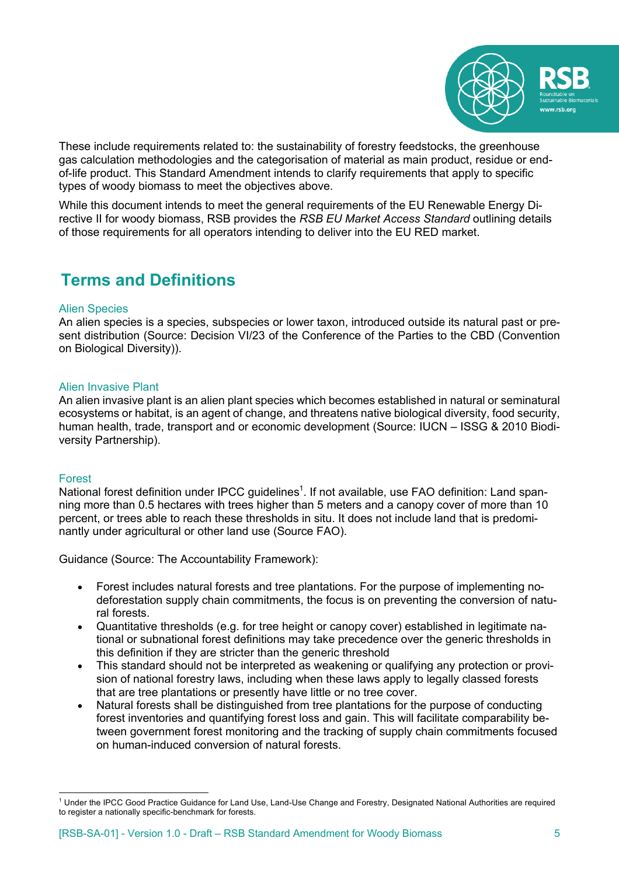

These include requirements related to: the sustainability of forestry feedstocks, the greenhouse gas calculation methodologies and the categorisation of material as main product, residue or endof-life product. This Standard Amendment intends to clarify requirements that apply to specific types of woody biomass to meet the objectives above.

While this document intends to meet the general requirements of the EU Renewable Energy Directive II for woody biomass, RSB provides the *RSB EU Market Access Standard* outlining details of those requirements for all operators intending to deliver into the EU RED market.

# **Terms and Definitions**

### Alien Species

An alien species is a species, subspecies or lower taxon, introduced outside its natural past or present distribution (Source: Decision VI/23 of the Conference of the Parties to the CBD (Convention on Biological Diversity)).

### Alien Invasive Plant

An alien invasive plant is an alien plant species which becomes established in natural or seminatural ecosystems or habitat, is an agent of change, and threatens native biological diversity, food security, human health, trade, transport and or economic development (Source: IUCN – ISSG & 2010 Biodiversity Partnership).

#### Forest

National forest definition under IPCC guidelines<sup>1</sup>. If not available, use FAO definition: Land spanning more than 0.5 hectares with trees higher than 5 meters and a canopy cover of more than 10 percent, or trees able to reach these thresholds in situ. It does not include land that is predominantly under agricultural or other land use (Source FAO).

Guidance (Source: The Accountability Framework):

- Forest includes natural forests and tree plantations. For the purpose of implementing nodeforestation supply chain commitments, the focus is on preventing the conversion of natural forests.
- Quantitative thresholds (e.g. for tree height or canopy cover) established in legitimate national or subnational forest definitions may take precedence over the generic thresholds in this definition if they are stricter than the generic threshold
- This standard should not be interpreted as weakening or qualifying any protection or provision of national forestry laws, including when these laws apply to legally classed forests that are tree plantations or presently have little or no tree cover.
- Natural forests shall be distinguished from tree plantations for the purpose of conducting forest inventories and quantifying forest loss and gain. This will facilitate comparability between government forest monitoring and the tracking of supply chain commitments focused on human-induced conversion of natural forests.

<sup>1</sup> Under the IPCC Good Practice Guidance for Land Use, Land-Use Change and Forestry, Designated National Authorities are required to register a nationally specific-benchmark for forests.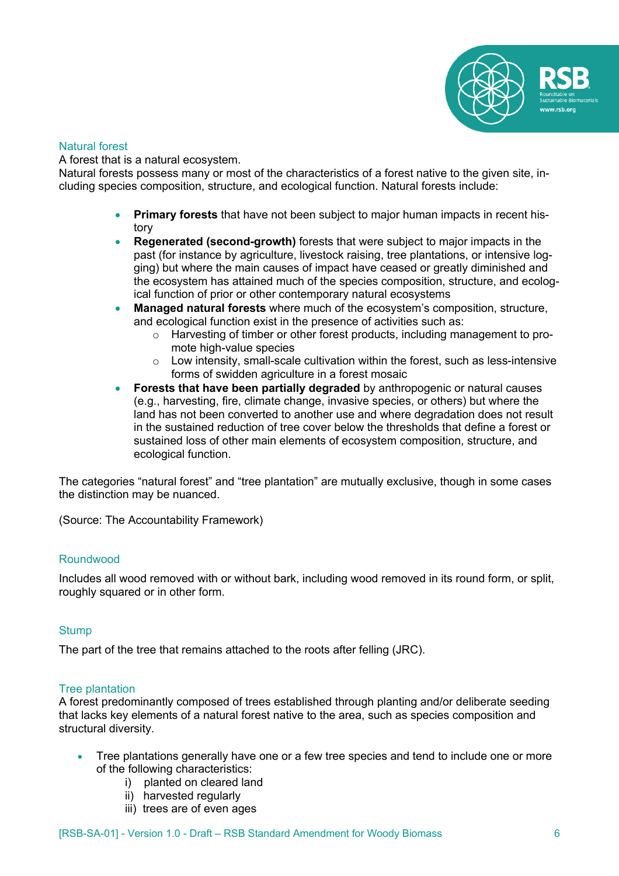

### Natural forest

A forest that is a natural ecosystem.

Natural forests possess many or most of the characteristics of a forest native to the given site, including species composition, structure, and ecological function. Natural forests include:

- **Primary forests** that have not been subject to major human impacts in recent history
- **Regenerated (second-growth)** forests that were subject to major impacts in the past (for instance by agriculture, livestock raising, tree plantations, or intensive logging) but where the main causes of impact have ceased or greatly diminished and the ecosystem has attained much of the species composition, structure, and ecological function of prior or other contemporary natural ecosystems
- **Managed natural forests** where much of the ecosystem's composition, structure, and ecological function exist in the presence of activities such as:
	- o Harvesting of timber or other forest products, including management to promote high-value species
	- $\circ$  Low intensity, small-scale cultivation within the forest, such as less-intensive forms of swidden agriculture in a forest mosaic
- **Forests that have been partially degraded** by anthropogenic or natural causes (e.g., harvesting, fire, climate change, invasive species, or others) but where the land has not been converted to another use and where degradation does not result in the sustained reduction of tree cover below the thresholds that define a forest or sustained loss of other main elements of ecosystem composition, structure, and ecological function.

The categories "natural forest" and "tree plantation" are mutually exclusive, though in some cases the distinction may be nuanced.

(Source: The Accountability Framework)

# Roundwood

Includes all wood removed with or without bark, including wood removed in its round form, or split, roughly squared or in other form.

# **Stump**

The part of the tree that remains attached to the roots after felling (JRC).

#### Tree plantation

A forest predominantly composed of trees established through planting and/or deliberate seeding that lacks key elements of a natural forest native to the area, such as species composition and structural diversity.

- Tree plantations generally have one or a few tree species and tend to include one or more of the following characteristics:
	- i) planted on cleared land
	- ii) harvested regularly
	- iii) trees are of even ages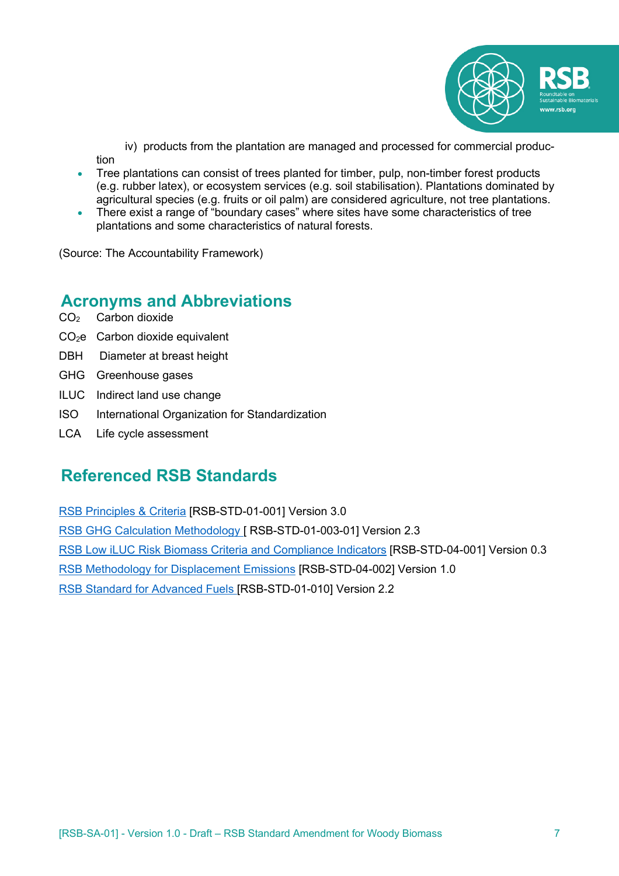

 iv) products from the plantation are managed and processed for commercial production

- Tree plantations can consist of trees planted for timber, pulp, non-timber forest products (e.g. rubber latex), or ecosystem services (e.g. soil stabilisation). Plantations dominated by agricultural species (e.g. fruits or oil palm) are considered agriculture, not tree plantations.
- There exist a range of "boundary cases" where sites have some characteristics of tree plantations and some characteristics of natural forests.

(Source: The Accountability Framework)

# **Acronyms and Abbreviations**

- CO<sub>2</sub> Carbon dioxide
- CO<sub>2</sub>e Carbon dioxide equivalent
- DBH Diameter at breast height
- GHG Greenhouse gases
- ILUC Indirect land use change
- ISO International Organization for Standardization
- LCA Life cycle assessment

# **Referenced RSB Standards**

RSB Principles & Criteria [RSB-STD-01-001] Version 3.0 RSB GHG Calculation Methodology [ RSB-STD-01-003-011 Version 2.3 RSB Low iLUC Risk Biomass Criteria and Compliance Indicators [RSB-STD-04-001] Version 0.3 RSB Methodology for Displacement Emissions [RSB-STD-04-002] Version 1.0 RSB Standard for Advanced Fuels [RSB-STD-01-010] Version 2.2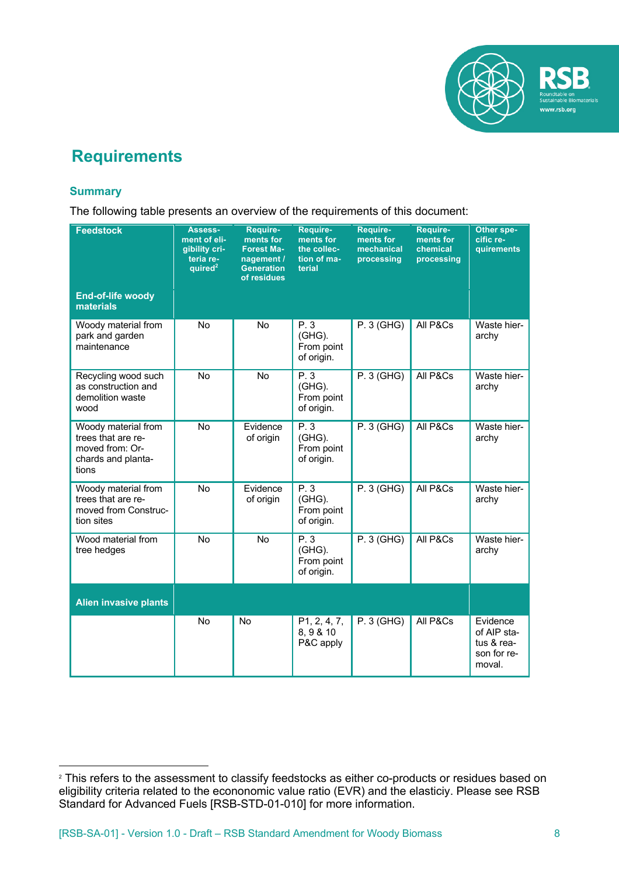

# **Requirements**

### **Summary**

The following table presents an overview of the requirements of this document:

| <b>Feedstock</b>                                                                            | Assess-<br>ment of eli-<br>gibility cri-<br>teria re-<br>quired <sup>2</sup> | Require-<br>ments for<br><b>Forest Ma-</b><br>nagement /<br><b>Generation</b><br>of residues | Require-<br>ments for<br>the collec-<br>tion of ma-<br>terial | Require-<br>ments for<br>mechanical<br>processing | <b>Require-</b><br>ments for<br>chemical<br>processing | Other spe-<br>cific re-<br>quirements                          |
|---------------------------------------------------------------------------------------------|------------------------------------------------------------------------------|----------------------------------------------------------------------------------------------|---------------------------------------------------------------|---------------------------------------------------|--------------------------------------------------------|----------------------------------------------------------------|
| <b>End-of-life woody</b><br>materials                                                       |                                                                              |                                                                                              |                                                               |                                                   |                                                        |                                                                |
| Woody material from<br>park and garden<br>maintenance                                       | <b>No</b>                                                                    | <b>No</b>                                                                                    | P.3<br>$(GHG)$ .<br>From point<br>of origin.                  | P. 3 (GHG)                                        | All P&Cs                                               | Waste hier-<br>archy                                           |
| Recycling wood such<br>as construction and<br>demolition waste<br>wood                      | No                                                                           | No                                                                                           | P.3<br>$(GHG)$ .<br>From point<br>of origin.                  | P. 3 (GHG)                                        | All P&Cs                                               | Waste hier-<br>archy                                           |
| Woody material from<br>trees that are re-<br>moved from: Or-<br>chards and planta-<br>tions | <b>No</b>                                                                    | Evidence<br>of origin                                                                        | P. 3<br>(GHG).<br>From point<br>of origin.                    | P. 3 (GHG)                                        | All P&Cs                                               | Waste hier-<br>archy                                           |
| Woody material from<br>trees that are re-<br>moved from Construc-<br>tion sites             | <b>No</b>                                                                    | Evidence<br>of origin                                                                        | P. 3<br>$(GHG)$ .<br>From point<br>of origin.                 | P. 3 (GHG)                                        | All P&Cs                                               | Waste hier-<br>archy                                           |
| Wood material from<br>tree hedges                                                           | No                                                                           | No                                                                                           | P. 3<br>$(GHG)$ .<br>From point<br>of origin.                 | P. 3 (GHG)                                        | All P&Cs                                               | Waste hier-<br>archy                                           |
| <b>Alien invasive plants</b>                                                                |                                                                              |                                                                                              |                                                               |                                                   |                                                        |                                                                |
|                                                                                             | <b>No</b>                                                                    | <b>No</b>                                                                                    | P1, 2, 4, 7,<br>8, 9 & 10<br>P&C apply                        | P. 3 (GHG)                                        | All P&Cs                                               | Evidence<br>of AIP sta-<br>tus & rea-<br>son for re-<br>moval. |

<sup>&</sup>lt;sup>2</sup> This refers to the assessment to classify feedstocks as either co-products or residues based on eligibility criteria related to the econonomic value ratio (EVR) and the elasticiy. Please see RSB Standard for Advanced Fuels [RSB-STD-01-010] for more information.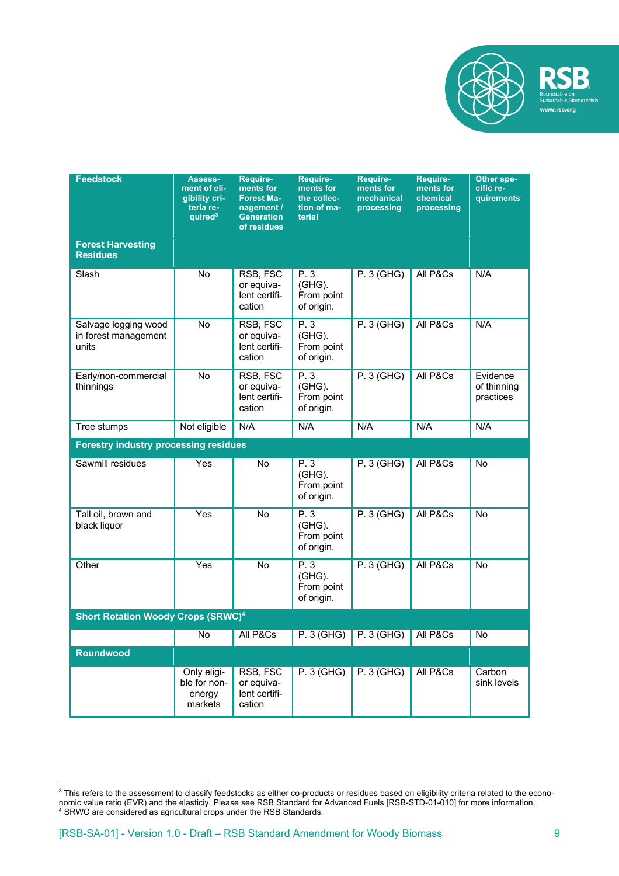

| <b>Feedstock</b>                                      | Assess-<br>ment of eli-<br>gibility cri-<br>teria re-<br>quired <sup>3</sup> | Require-<br>ments for<br><b>Forest Ma-</b><br>nagement /<br><b>Generation</b><br>of residues | <b>Require-</b><br>ments for<br>the collec-<br>tion of ma-<br>terial | Require-<br>ments for<br>mechanical<br>processing | Require-<br>ments for<br>chemical<br>processing | Other spe-<br>cific re-<br>quirements |
|-------------------------------------------------------|------------------------------------------------------------------------------|----------------------------------------------------------------------------------------------|----------------------------------------------------------------------|---------------------------------------------------|-------------------------------------------------|---------------------------------------|
| <b>Forest Harvesting</b><br><b>Residues</b>           |                                                                              |                                                                                              |                                                                      |                                                   |                                                 |                                       |
| Slash                                                 | No                                                                           | RSB, FSC<br>or equiva-<br>lent certifi-<br>cation                                            | P.3<br>(GHG).<br>From point<br>of origin.                            | P. 3 (GHG)                                        | All P&Cs                                        | N/A                                   |
| Salvage logging wood<br>in forest management<br>units | <b>No</b>                                                                    | RSB, FSC<br>or equiva-<br>lent certifi-<br>cation                                            | P.3<br>$(GHG)$ .<br>From point<br>of origin.                         | P. 3 (GHG)                                        | All P&Cs                                        | N/A                                   |
| Early/non-commercial<br>thinnings                     | No                                                                           | RSB, FSC<br>or equiva-<br>lent certifi-<br>cation                                            | P.3<br>(GHG).<br>From point<br>of origin.                            | P. 3 (GHG)                                        | All P&Cs                                        | Evidence<br>of thinning<br>practices  |
| Tree stumps                                           | Not eligible                                                                 | N/A                                                                                          | N/A                                                                  | N/A                                               | N/A                                             | N/A                                   |
| <b>Forestry industry processing residues</b>          |                                                                              |                                                                                              |                                                                      |                                                   |                                                 |                                       |
| Sawmill residues                                      | Yes                                                                          | No                                                                                           | P. 3<br>$(GHG)$ .<br>From point<br>of origin.                        | P. 3 (GHG)                                        | All P&Cs                                        | No                                    |
| Tall oil, brown and<br>black liquor                   | Yes                                                                          | <b>No</b>                                                                                    | P. 3<br>(GHG).<br>From point<br>of origin.                           | P. 3 (GHG)                                        | All P&Cs                                        | No                                    |
| Other                                                 | Yes                                                                          | No                                                                                           | P. 3<br>(GHG).<br>From point<br>of origin.                           | P. 3 (GHG)                                        | All P&Cs                                        | No                                    |
| <b>Short Rotation Woody Crops (SRWC)4</b>             |                                                                              |                                                                                              |                                                                      |                                                   |                                                 |                                       |
|                                                       | <b>No</b>                                                                    | All P&Cs                                                                                     | P. 3 (GHG)                                                           | P. 3 (GHG)                                        | All P&Cs                                        | No                                    |
| <b>Roundwood</b>                                      |                                                                              |                                                                                              |                                                                      |                                                   |                                                 |                                       |
|                                                       | Only eligi-<br>ble for non-<br>energy<br>markets                             | RSB, FSC<br>or equiva-<br>lent certifi-<br>cation                                            | P. 3 (GHG)                                                           | P. 3 (GHG)                                        | All P&Cs                                        | Carbon<br>sink levels                 |

 $3$  This refers to the assessment to classify feedstocks as either co-products or residues based on eligibility criteria related to the econonomic value ratio (EVR) and the elasticiy. Please see RSB Standard for Advanced Fuels [RSB-STD-01-010] for more information. <sup>4</sup> SRWC are considered as agricultural crops under the RSB Standards.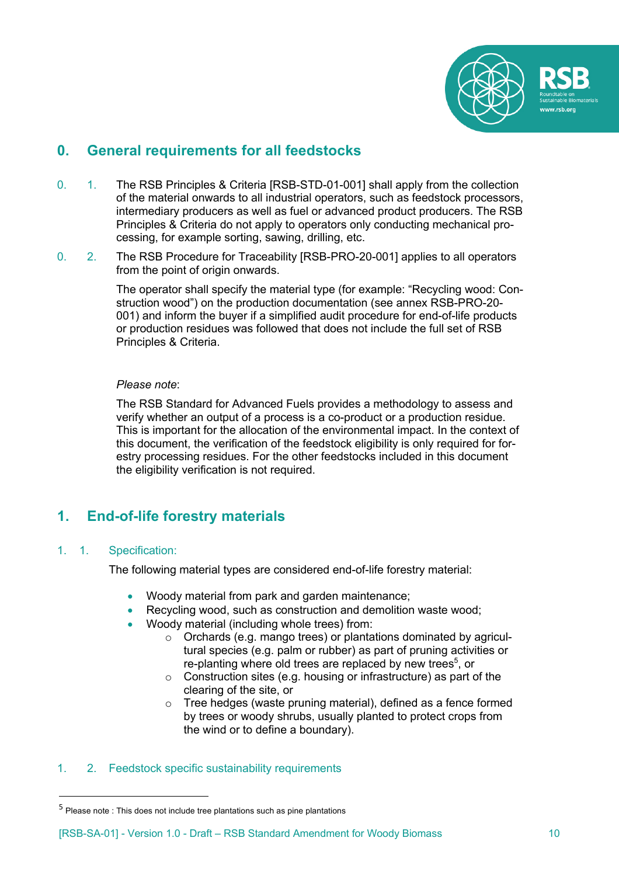

# **0. General requirements for all feedstocks**

- 0. 1. The RSB Principles & Criteria [RSB-STD-01-001] shall apply from the collection of the material onwards to all industrial operators, such as feedstock processors, intermediary producers as well as fuel or advanced product producers. The RSB Principles & Criteria do not apply to operators only conducting mechanical processing, for example sorting, sawing, drilling, etc.
- 0. 2. The RSB Procedure for Traceability [RSB-PRO-20-001] applies to all operators from the point of origin onwards.

The operator shall specify the material type (for example: "Recycling wood: Construction wood") on the production documentation (see annex RSB-PRO-20- 001) and inform the buyer if a simplified audit procedure for end-of-life products or production residues was followed that does not include the full set of RSB Principles & Criteria.

### *Please note*:

The RSB Standard for Advanced Fuels provides a methodology to assess and verify whether an output of a process is a co-product or a production residue. This is important for the allocation of the environmental impact. In the context of this document, the verification of the feedstock eligibility is only required for forestry processing residues. For the other feedstocks included in this document the eligibility verification is not required.

# **1. End-of-life forestry materials**

# 1. 1. Specification:

The following material types are considered end-of-life forestry material:

- Woody material from park and garden maintenance;
- Recycling wood, such as construction and demolition waste wood;
- Woody material (including whole trees) from:
	- o Orchards (e.g. mango trees) or plantations dominated by agricultural species (e.g. palm or rubber) as part of pruning activities or re-planting where old trees are replaced by new trees<sup>5</sup>, or
	- o Construction sites (e.g. housing or infrastructure) as part of the clearing of the site, or
	- o Tree hedges (waste pruning material), defined as a fence formed by trees or woody shrubs, usually planted to protect crops from the wind or to define a boundary).

# 1. 2. Feedstock specific sustainability requirements

<sup>5</sup> Please note : This does not include tree plantations such as pine plantations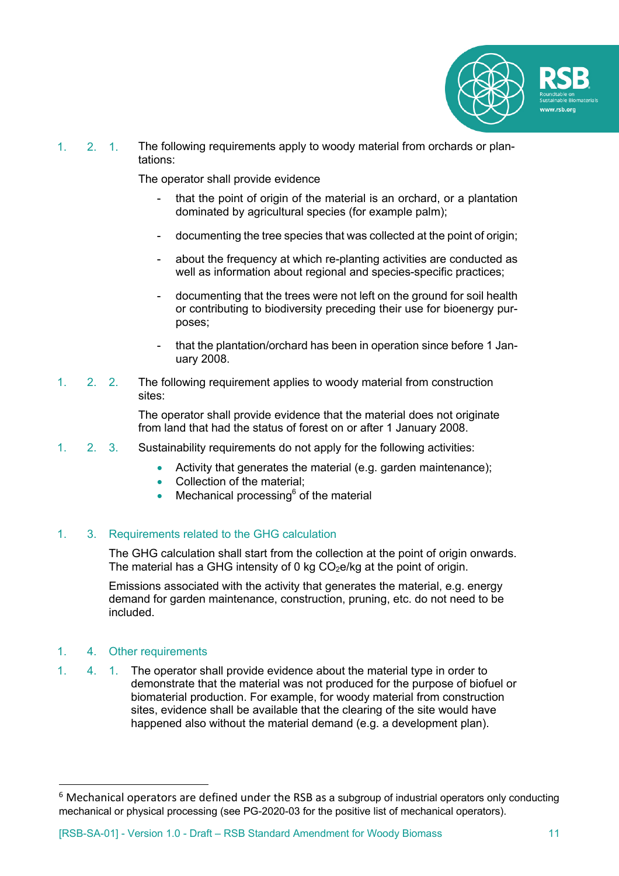

1. 2. 1. The following requirements apply to woody material from orchards or plantations:

The operator shall provide evidence

- that the point of origin of the material is an orchard, or a plantation dominated by agricultural species (for example palm);
- documenting the tree species that was collected at the point of origin;
- about the frequency at which re-planting activities are conducted as well as information about regional and species-specific practices;
- documenting that the trees were not left on the ground for soil health or contributing to biodiversity preceding their use for bioenergy purposes;
- that the plantation/orchard has been in operation since before 1 January 2008.
- 1. 2. 2. The following requirement applies to woody material from construction sites:

The operator shall provide evidence that the material does not originate from land that had the status of forest on or after 1 January 2008.

- 1. 2. 3. Sustainability requirements do not apply for the following activities:
	- Activity that generates the material (e.g. garden maintenance);
	- Collection of the material:
	- Mechanical processing $6$  of the material

# 1. 3. Requirements related to the GHG calculation

The GHG calculation shall start from the collection at the point of origin onwards. The material has a GHG intensity of 0 kg  $CO<sub>2</sub>e/kg$  at the point of origin.

Emissions associated with the activity that generates the material, e.g. energy demand for garden maintenance, construction, pruning, etc. do not need to be included.

#### 1. 4. Other requirements

1. 4. 1. The operator shall provide evidence about the material type in order to demonstrate that the material was not produced for the purpose of biofuel or biomaterial production. For example, for woody material from construction sites, evidence shall be available that the clearing of the site would have happened also without the material demand (e.g. a development plan).

<sup>&</sup>lt;sup>6</sup> Mechanical operators are defined under the RSB as a subgroup of industrial operators only conducting mechanical or physical processing (see PG-2020-03 for the positive list of mechanical operators).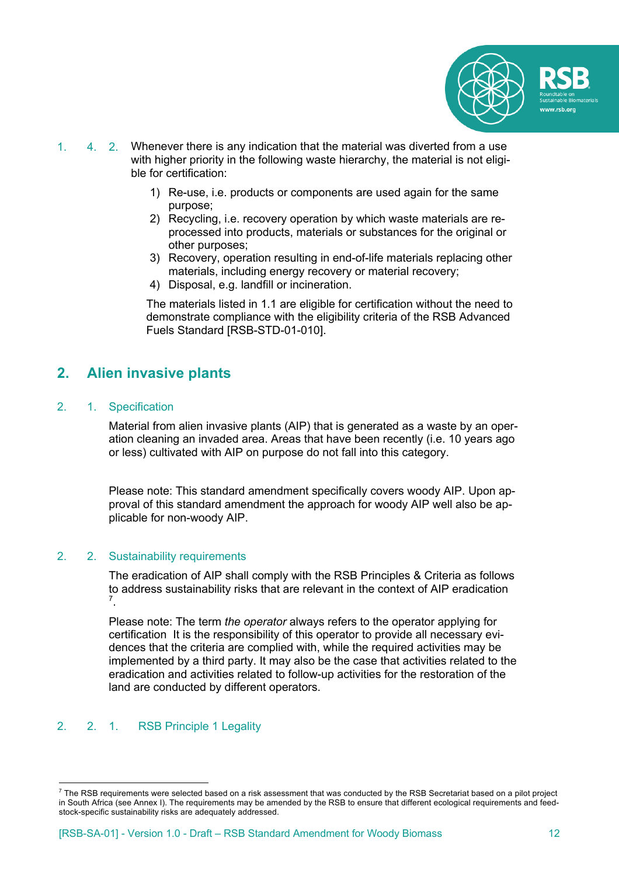

- 1. 4. 2. Whenever there is any indication that the material was diverted from a use with higher priority in the following waste hierarchy, the material is not eligible for certification:
	- 1) Re-use, i.e. products or components are used again for the same purpose;
	- 2) Recycling, i.e. recovery operation by which waste materials are reprocessed into products, materials or substances for the original or other purposes;
	- 3) Recovery, operation resulting in end-of-life materials replacing other materials, including energy recovery or material recovery;
	- 4) Disposal, e.g. landfill or incineration.

The materials listed in 1.1 are eligible for certification without the need to demonstrate compliance with the eligibility criteria of the RSB Advanced Fuels Standard [RSB-STD-01-010].

# **2. Alien invasive plants**

2. 1. Specification

Material from alien invasive plants (AIP) that is generated as a waste by an operation cleaning an invaded area. Areas that have been recently (i.e. 10 years ago or less) cultivated with AIP on purpose do not fall into this category.

Please note: This standard amendment specifically covers woody AIP. Upon approval of this standard amendment the approach for woody AIP well also be applicable for non-woody AIP.

# 2. 2. Sustainability requirements

The eradication of AIP shall comply with the RSB Principles & Criteria as follows to address sustainability risks that are relevant in the context of AIP eradication 7 .

Please note: The term *the operator* always refers to the operator applying for certification It is the responsibility of this operator to provide all necessary evidences that the criteria are complied with, while the required activities may be implemented by a third party. It may also be the case that activities related to the eradication and activities related to follow-up activities for the restoration of the land are conducted by different operators.

# 2. 2. 1. RSB Principle 1 Legality

 $^7$  The RSB requirements were selected based on a risk assessment that was conducted by the RSB Secretariat based on a pilot project in South Africa (see Annex I). The requirements may be amended by the RSB to ensure that different ecological requirements and feedstock-specific sustainability risks are adequately addressed.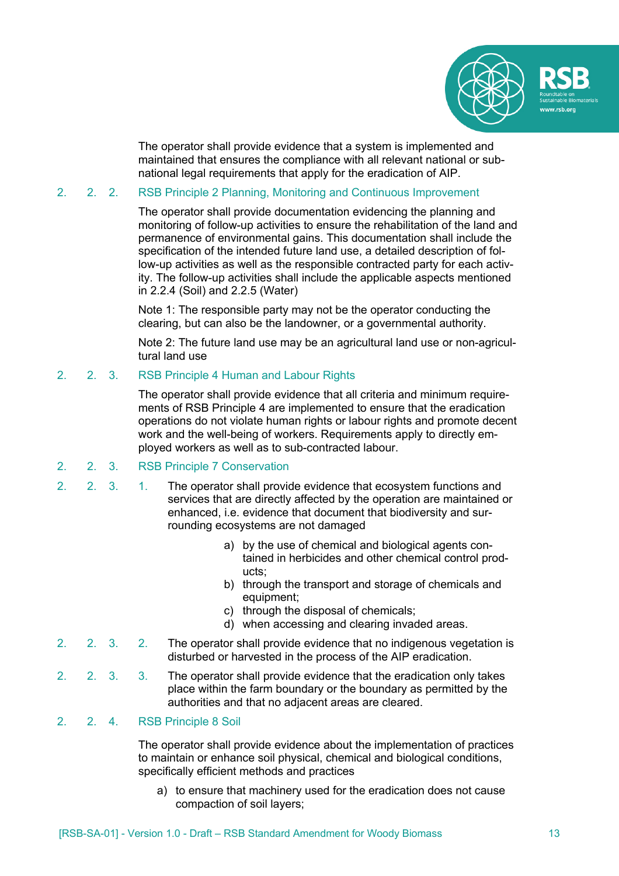

The operator shall provide evidence that a system is implemented and maintained that ensures the compliance with all relevant national or subnational legal requirements that apply for the eradication of AIP.

# 2. 2. 2. RSB Principle 2 Planning, Monitoring and Continuous Improvement

The operator shall provide documentation evidencing the planning and monitoring of follow-up activities to ensure the rehabilitation of the land and permanence of environmental gains. This documentation shall include the specification of the intended future land use, a detailed description of follow-up activities as well as the responsible contracted party for each activity. The follow-up activities shall include the applicable aspects mentioned in 2.2.4 (Soil) and 2.2.5 (Water)

Note 1: The responsible party may not be the operator conducting the clearing, but can also be the landowner, or a governmental authority.

Note 2: The future land use may be an agricultural land use or non-agricultural land use

#### 2. 2. 3. RSB Principle 4 Human and Labour Rights

The operator shall provide evidence that all criteria and minimum requirements of RSB Principle 4 are implemented to ensure that the eradication operations do not violate human rights or labour rights and promote decent work and the well-being of workers. Requirements apply to directly employed workers as well as to sub-contracted labour.

- 2. 2. 3. RSB Principle 7 Conservation
- 2. 2. 3. 1. The operator shall provide evidence that ecosystem functions and services that are directly affected by the operation are maintained or enhanced, i.e. evidence that document that biodiversity and surrounding ecosystems are not damaged
	- a) by the use of chemical and biological agents contained in herbicides and other chemical control products;
	- b) through the transport and storage of chemicals and equipment;
	- c) through the disposal of chemicals;
	- d) when accessing and clearing invaded areas.
- 2. 2. 3. 2. The operator shall provide evidence that no indigenous vegetation is disturbed or harvested in the process of the AIP eradication.
- 2. 2. 3. 3. The operator shall provide evidence that the eradication only takes place within the farm boundary or the boundary as permitted by the authorities and that no adjacent areas are cleared.
- 2. 2. 4. RSB Principle 8 Soil

The operator shall provide evidence about the implementation of practices to maintain or enhance soil physical, chemical and biological conditions, specifically efficient methods and practices

a) to ensure that machinery used for the eradication does not cause compaction of soil layers;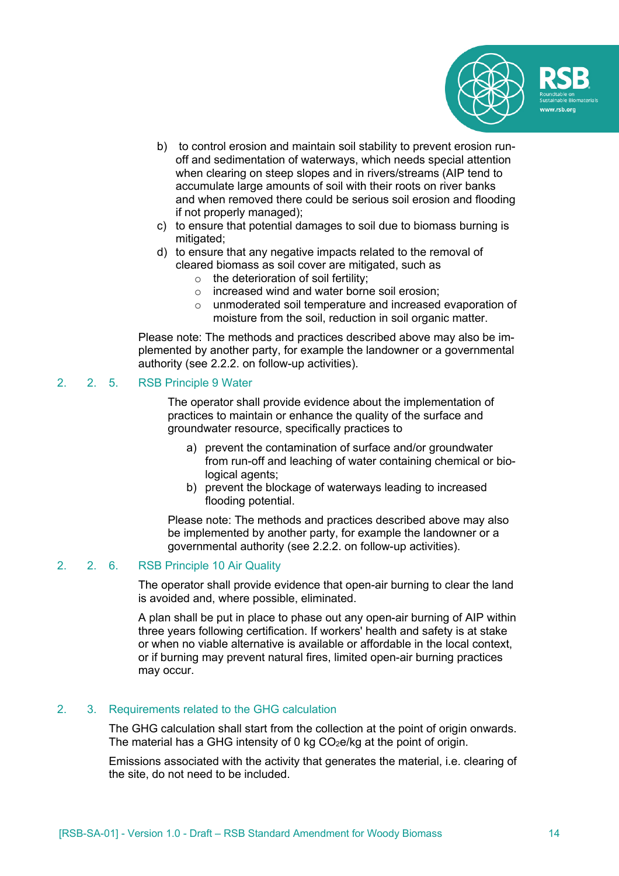

- b) to control erosion and maintain soil stability to prevent erosion runoff and sedimentation of waterways, which needs special attention when clearing on steep slopes and in rivers/streams (AIP tend to accumulate large amounts of soil with their roots on river banks and when removed there could be serious soil erosion and flooding if not properly managed);
- c) to ensure that potential damages to soil due to biomass burning is mitigated;
- d) to ensure that any negative impacts related to the removal of cleared biomass as soil cover are mitigated, such as
	- $\circ$  the deterioration of soil fertility;
	- o increased wind and water borne soil erosion;
	- o unmoderated soil temperature and increased evaporation of moisture from the soil, reduction in soil organic matter.

Please note: The methods and practices described above may also be implemented by another party, for example the landowner or a governmental authority (see 2.2.2. on follow-up activities).

#### 2. 2. 5. RSB Principle 9 Water

The operator shall provide evidence about the implementation of practices to maintain or enhance the quality of the surface and groundwater resource, specifically practices to

- a) prevent the contamination of surface and/or groundwater from run-off and leaching of water containing chemical or biological agents;
- b) prevent the blockage of waterways leading to increased flooding potential.

Please note: The methods and practices described above may also be implemented by another party, for example the landowner or a governmental authority (see 2.2.2. on follow-up activities).

### 2. 2. 6. RSB Principle 10 Air Quality

The operator shall provide evidence that open-air burning to clear the land is avoided and, where possible, eliminated.

A plan shall be put in place to phase out any open-air burning of AIP within three years following certification. If workers' health and safety is at stake or when no viable alternative is available or affordable in the local context, or if burning may prevent natural fires, limited open-air burning practices may occur.

#### 2. 3. Requirements related to the GHG calculation

The GHG calculation shall start from the collection at the point of origin onwards. The material has a GHG intensity of 0 kg  $CO<sub>2</sub>e/kg$  at the point of origin.

Emissions associated with the activity that generates the material, i.e. clearing of the site, do not need to be included.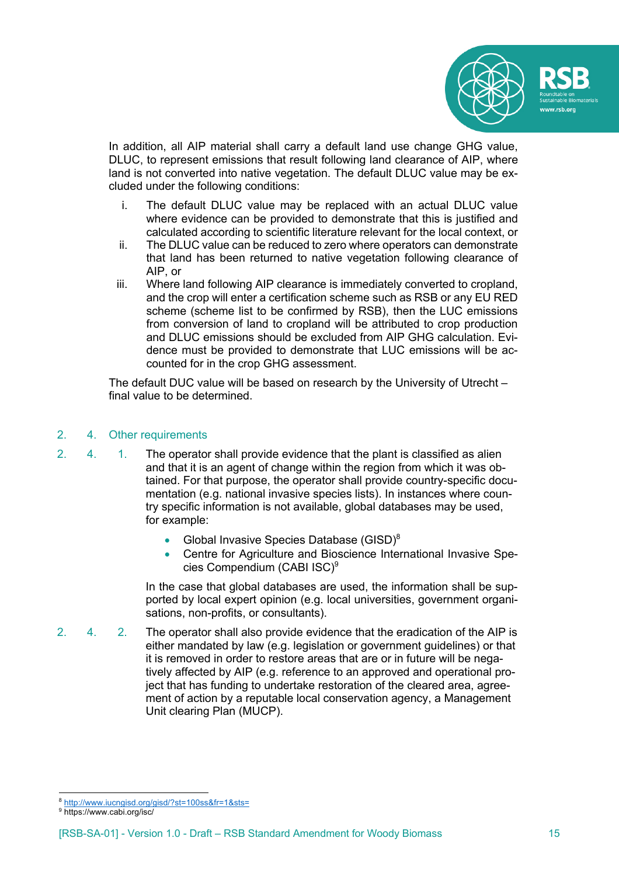

In addition, all AIP material shall carry a default land use change GHG value, DLUC, to represent emissions that result following land clearance of AIP, where land is not converted into native vegetation. The default DLUC value may be excluded under the following conditions:

- i. The default DLUC value may be replaced with an actual DLUC value where evidence can be provided to demonstrate that this is justified and calculated according to scientific literature relevant for the local context, or
- ii. The DLUC value can be reduced to zero where operators can demonstrate that land has been returned to native vegetation following clearance of AIP, or
- iii. Where land following AIP clearance is immediately converted to cropland, and the crop will enter a certification scheme such as RSB or any EU RED scheme (scheme list to be confirmed by RSB), then the LUC emissions from conversion of land to cropland will be attributed to crop production and DLUC emissions should be excluded from AIP GHG calculation. Evidence must be provided to demonstrate that LUC emissions will be accounted for in the crop GHG assessment.

The default DUC value will be based on research by the University of Utrecht – final value to be determined.

#### 2. 4. Other requirements

- 2. 4. 1. The operator shall provide evidence that the plant is classified as alien and that it is an agent of change within the region from which it was obtained. For that purpose, the operator shall provide country-specific documentation (e.g. national invasive species lists). In instances where country specific information is not available, global databases may be used, for example:
	- Global Invasive Species Database (GISD)8
	- Centre for Agriculture and Bioscience International Invasive Species Compendium (CABI ISC)<sup>9</sup>

In the case that global databases are used, the information shall be supported by local expert opinion (e.g. local universities, government organisations, non-profits, or consultants).

2. 4. 2. The operator shall also provide evidence that the eradication of the AIP is either mandated by law (e.g. legislation or government guidelines) or that it is removed in order to restore areas that are or in future will be negatively affected by AIP (e.g. reference to an approved and operational project that has funding to undertake restoration of the cleared area, agreement of action by a reputable local conservation agency, a Management Unit clearing Plan (MUCP).

<sup>9</sup> https://www.cabi.org/isc/

http://www.iucngisd.org/gisd/?st=100ss&fr=1&sts=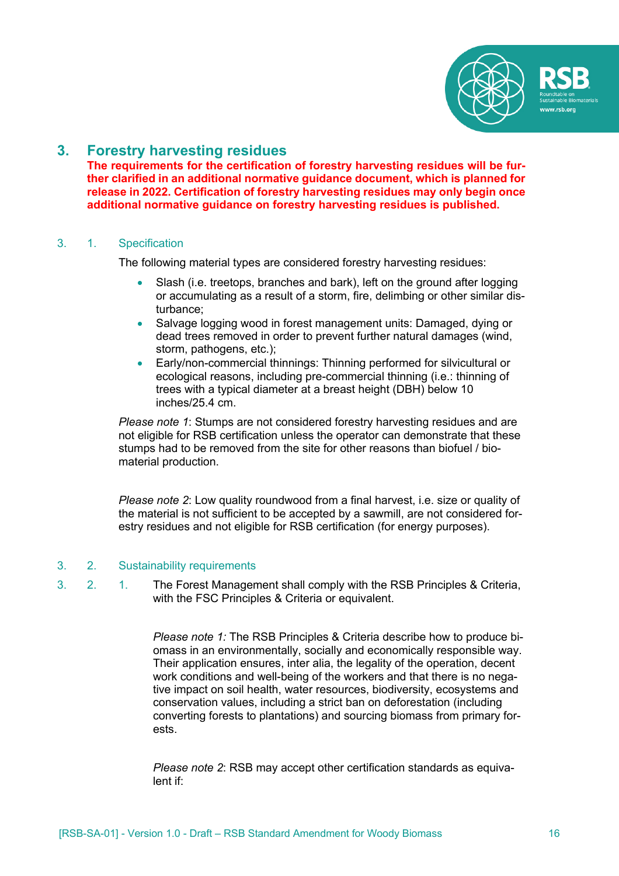

# **3. Forestry harvesting residues**

**The requirements for the certification of forestry harvesting residues will be further clarified in an additional normative guidance document, which is planned for release in 2022. Certification of forestry harvesting residues may only begin once additional normative guidance on forestry harvesting residues is published.**

### 3. 1. Specification

The following material types are considered forestry harvesting residues:

- Slash (i.e. treetops, branches and bark), left on the ground after logging or accumulating as a result of a storm, fire, delimbing or other similar disturbance;
- Salvage logging wood in forest management units: Damaged, dying or dead trees removed in order to prevent further natural damages (wind, storm, pathogens, etc.);
- Early/non-commercial thinnings: Thinning performed for silvicultural or ecological reasons, including pre-commercial thinning (i.e.: thinning of trees with a typical diameter at a breast height (DBH) below 10 inches/25.4 cm.

*Please note 1*: Stumps are not considered forestry harvesting residues and are not eligible for RSB certification unless the operator can demonstrate that these stumps had to be removed from the site for other reasons than biofuel / biomaterial production.

*Please note 2*: Low quality roundwood from a final harvest, i.e. size or quality of the material is not sufficient to be accepted by a sawmill, are not considered forestry residues and not eligible for RSB certification (for energy purposes).

### 3. 2. Sustainability requirements

3. 2. 1. The Forest Management shall comply with the RSB Principles & Criteria, with the FSC Principles & Criteria or equivalent.

> *Please note 1:* The RSB Principles & Criteria describe how to produce biomass in an environmentally, socially and economically responsible way. Their application ensures, inter alia, the legality of the operation, decent work conditions and well-being of the workers and that there is no negative impact on soil health, water resources, biodiversity, ecosystems and conservation values, including a strict ban on deforestation (including converting forests to plantations) and sourcing biomass from primary forests.

*Please note 2*: RSB may accept other certification standards as equivalent if: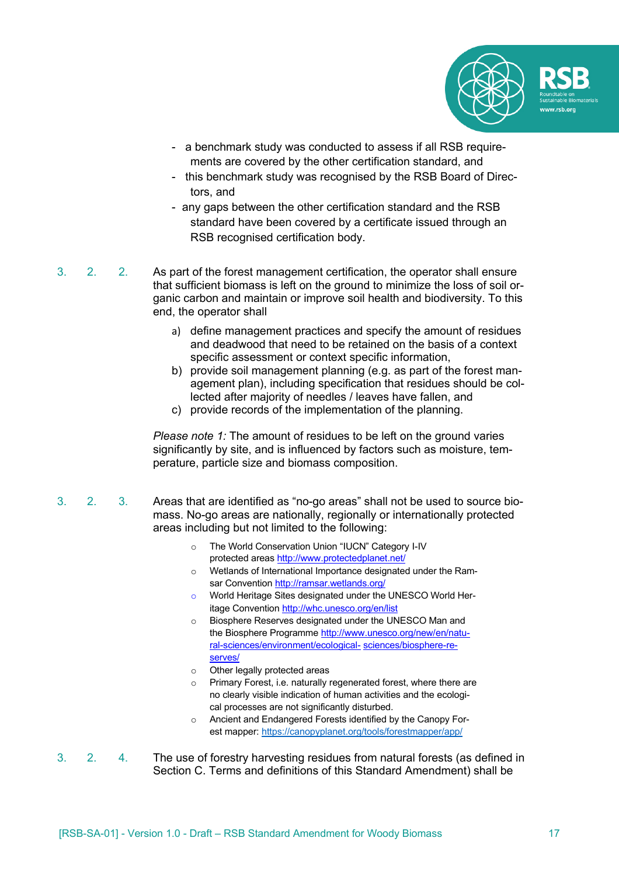

- a benchmark study was conducted to assess if all RSB requirements are covered by the other certification standard, and
- this benchmark study was recognised by the RSB Board of Directors, and
- any gaps between the other certification standard and the RSB standard have been covered by a certificate issued through an RSB recognised certification body.
- 3. 2. 2. As part of the forest management certification, the operator shall ensure that sufficient biomass is left on the ground to minimize the loss of soil organic carbon and maintain or improve soil health and biodiversity. To this end, the operator shall
	- a) define management practices and specify the amount of residues and deadwood that need to be retained on the basis of a context specific assessment or context specific information,
	- b) provide soil management planning (e.g. as part of the forest management plan), including specification that residues should be collected after majority of needles / leaves have fallen, and
	- c) provide records of the implementation of the planning.

*Please note 1:* The amount of residues to be left on the ground varies significantly by site, and is influenced by factors such as moisture, temperature, particle size and biomass composition.

- 3. 2. 3. Areas that are identified as "no-go areas" shall not be used to source biomass. No-go areas are nationally, regionally or internationally protected areas including but not limited to the following:
	- o The World Conservation Union "IUCN" Category I-IV protected areas http://www.protectedplanet.net/
	- o Wetlands of International Importance designated under the Ram-
	- o World Heritage Sites designated under the UNESCO World Heritage Convention http://whc.unesco.org/en/list
	- o Biosphere Reserves designated under the UNESCO Man and the Biosphere Programme http://www.unesco.org/new/en/natural-sciences/environment/ecological- sciences/biosphere-reserves/
	- o Other legally protected areas
	- Primary Forest, i.e. naturally regenerated forest, where there are no clearly visible indication of human activities and the ecological processes are not significantly disturbed.
	- o Ancient and Endangered Forests identified by the Canopy Forest mapper: https://canopyplanet.org/tools/forestmapper/app/
- 3. 2. 4. The use of forestry harvesting residues from natural forests (as defined in Section C. Terms and definitions of this Standard Amendment) shall be

sar Convention http://ramsar.wetlands.org/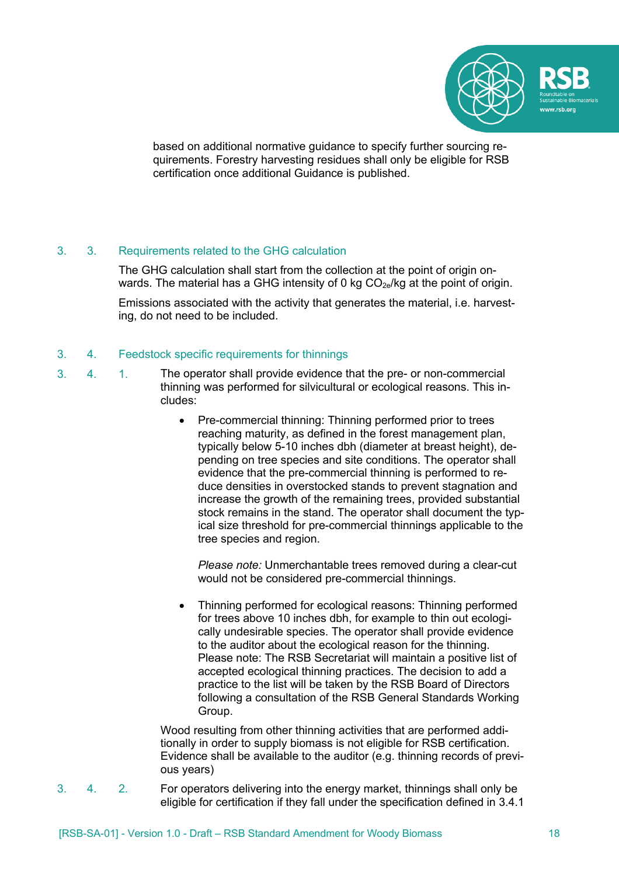

based on additional normative guidance to specify further sourcing requirements. Forestry harvesting residues shall only be eligible for RSB certification once additional Guidance is published.

# 3. 3. Requirements related to the GHG calculation

The GHG calculation shall start from the collection at the point of origin onwards. The material has a GHG intensity of 0 kg  $CO<sub>2e</sub>/kg$  at the point of origin.

Emissions associated with the activity that generates the material, i.e. harvesting, do not need to be included.

# 3. 4. Feedstock specific requirements for thinnings

- 3. 4. 1. The operator shall provide evidence that the pre- or non-commercial thinning was performed for silvicultural or ecological reasons. This includes:
	- Pre-commercial thinning: Thinning performed prior to trees reaching maturity, as defined in the forest management plan, typically below 5-10 inches dbh (diameter at breast height), depending on tree species and site conditions. The operator shall evidence that the pre-commercial thinning is performed to reduce densities in overstocked stands to prevent stagnation and increase the growth of the remaining trees, provided substantial stock remains in the stand. The operator shall document the typical size threshold for pre-commercial thinnings applicable to the tree species and region.

*Please note:* Unmerchantable trees removed during a clear-cut would not be considered pre-commercial thinnings.

• Thinning performed for ecological reasons: Thinning performed for trees above 10 inches dbh, for example to thin out ecologically undesirable species. The operator shall provide evidence to the auditor about the ecological reason for the thinning. Please note: The RSB Secretariat will maintain a positive list of accepted ecological thinning practices. The decision to add a practice to the list will be taken by the RSB Board of Directors following a consultation of the RSB General Standards Working Group.

Wood resulting from other thinning activities that are performed additionally in order to supply biomass is not eligible for RSB certification. Evidence shall be available to the auditor (e.g. thinning records of previous years)

3. 4. 2. For operators delivering into the energy market, thinnings shall only be eligible for certification if they fall under the specification defined in 3.4.1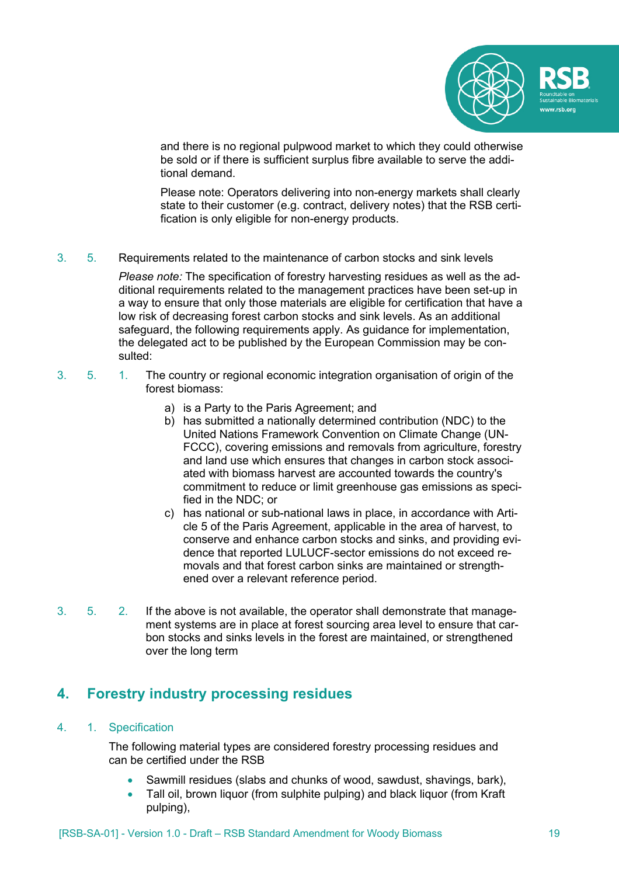

and there is no regional pulpwood market to which they could otherwise be sold or if there is sufficient surplus fibre available to serve the additional demand.

Please note: Operators delivering into non-energy markets shall clearly state to their customer (e.g. contract, delivery notes) that the RSB certification is only eligible for non-energy products.

3. 5. Requirements related to the maintenance of carbon stocks and sink levels

*Please note:* The specification of forestry harvesting residues as well as the additional requirements related to the management practices have been set-up in a way to ensure that only those materials are eligible for certification that have a low risk of decreasing forest carbon stocks and sink levels. As an additional safeguard, the following requirements apply. As guidance for implementation, the delegated act to be published by the European Commission may be consulted:

- 3. 5. 1. The country or regional economic integration organisation of origin of the forest biomass:
	- a) is a Party to the Paris Agreement; and
	- b) has submitted a nationally determined contribution (NDC) to the United Nations Framework Convention on Climate Change (UN-FCCC), covering emissions and removals from agriculture, forestry and land use which ensures that changes in carbon stock associated with biomass harvest are accounted towards the country's commitment to reduce or limit greenhouse gas emissions as specified in the NDC; or
	- c) has national or sub-national laws in place, in accordance with Article 5 of the Paris Agreement, applicable in the area of harvest, to conserve and enhance carbon stocks and sinks, and providing evidence that reported LULUCF-sector emissions do not exceed removals and that forest carbon sinks are maintained or strengthened over a relevant reference period.
- 3. 5. 2. If the above is not available, the operator shall demonstrate that management systems are in place at forest sourcing area level to ensure that carbon stocks and sinks levels in the forest are maintained, or strengthened over the long term

# **4. Forestry industry processing residues**

# 4. 1. Specification

The following material types are considered forestry processing residues and can be certified under the RSB

- Sawmill residues (slabs and chunks of wood, sawdust, shavings, bark),
- Tall oil, brown liquor (from sulphite pulping) and black liquor (from Kraft pulping),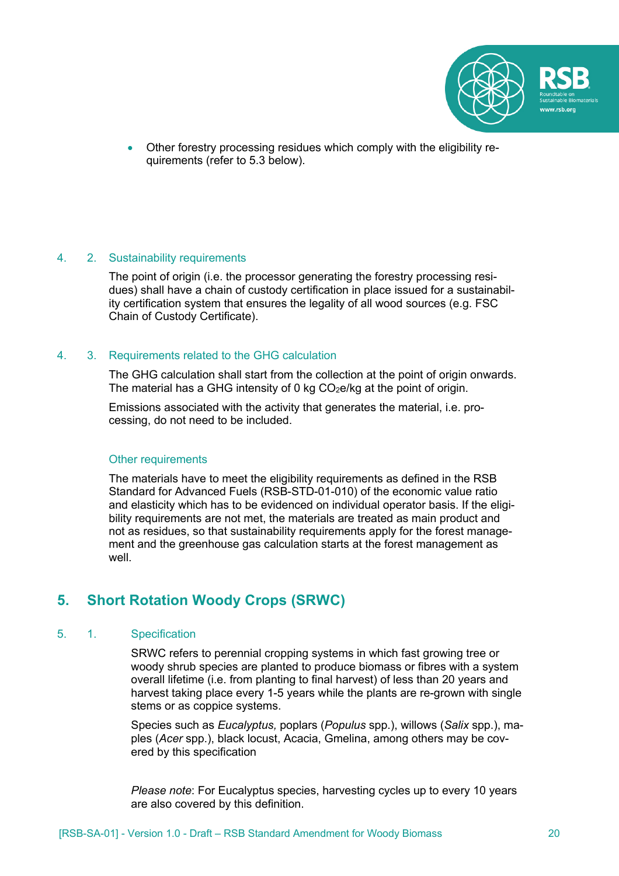

• Other forestry processing residues which comply with the eligibility requirements (refer to 5.3 below).

#### 4. 2. Sustainability requirements

The point of origin (i.e. the processor generating the forestry processing residues) shall have a chain of custody certification in place issued for a sustainability certification system that ensures the legality of all wood sources (e.g. FSC Chain of Custody Certificate).

#### 4. 3. Requirements related to the GHG calculation

The GHG calculation shall start from the collection at the point of origin onwards. The material has a GHG intensity of 0 kg  $CO<sub>2</sub>e/kg$  at the point of origin.

Emissions associated with the activity that generates the material, i.e. processing, do not need to be included.

#### Other requirements

The materials have to meet the eligibility requirements as defined in the RSB Standard for Advanced Fuels (RSB-STD-01-010) of the economic value ratio and elasticity which has to be evidenced on individual operator basis. If the eligibility requirements are not met, the materials are treated as main product and not as residues, so that sustainability requirements apply for the forest management and the greenhouse gas calculation starts at the forest management as well.

# **5. Short Rotation Woody Crops (SRWC)**

#### 5. 1. Specification

SRWC refers to perennial cropping systems in which fast growing tree or woody shrub species are planted to produce biomass or fibres with a system overall lifetime (i.e. from planting to final harvest) of less than 20 years and harvest taking place every 1-5 years while the plants are re-grown with single stems or as coppice systems.

Species such as *Eucalyptus,* poplars (*Populus* spp.), willows (*Salix* spp.), maples (*Acer* spp.), black locust, Acacia, Gmelina, among others may be covered by this specification

*Please note*: For Eucalyptus species, harvesting cycles up to every 10 years are also covered by this definition.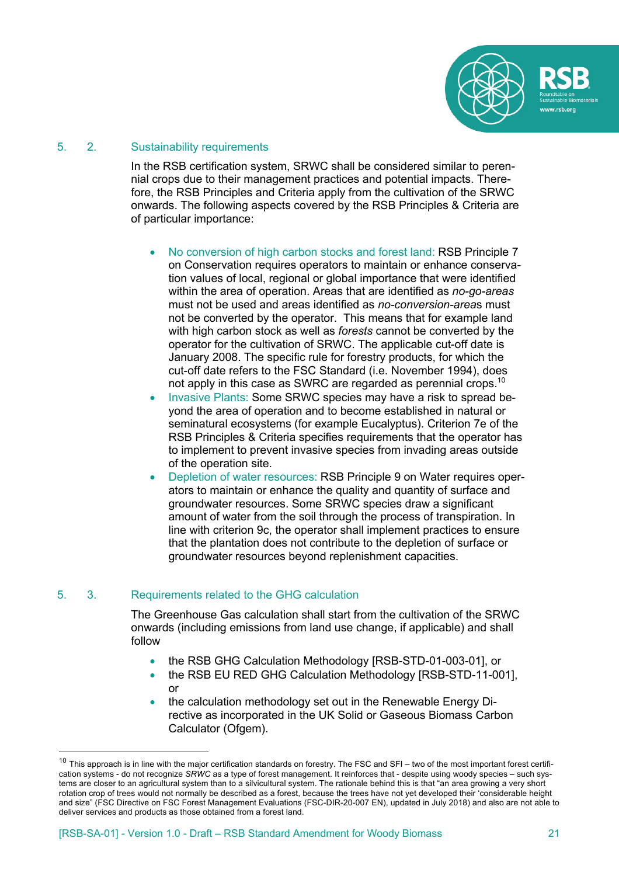

# 5. 2. Sustainability requirements

In the RSB certification system, SRWC shall be considered similar to perennial crops due to their management practices and potential impacts. Therefore, the RSB Principles and Criteria apply from the cultivation of the SRWC onwards. The following aspects covered by the RSB Principles & Criteria are of particular importance:

- No conversion of high carbon stocks and forest land: RSB Principle 7 on Conservation requires operators to maintain or enhance conservation values of local, regional or global importance that were identified within the area of operation. Areas that are identified as *no-go-areas* must not be used and areas identified as *no-conversion-area*s must not be converted by the operator. This means that for example land with high carbon stock as well as *forests* cannot be converted by the operator for the cultivation of SRWC. The applicable cut-off date is January 2008. The specific rule for forestry products, for which the cut-off date refers to the FSC Standard (i.e. November 1994), does not apply in this case as SWRC are regarded as perennial crops.<sup>10</sup>
- Invasive Plants: Some SRWC species may have a risk to spread beyond the area of operation and to become established in natural or seminatural ecosystems (for example Eucalyptus). Criterion 7e of the RSB Principles & Criteria specifies requirements that the operator has to implement to prevent invasive species from invading areas outside of the operation site.
- Depletion of water resources: RSB Principle 9 on Water requires operators to maintain or enhance the quality and quantity of surface and groundwater resources. Some SRWC species draw a significant amount of water from the soil through the process of transpiration. In line with criterion 9c, the operator shall implement practices to ensure that the plantation does not contribute to the depletion of surface or groundwater resources beyond replenishment capacities.

# 5. 3. Requirements related to the GHG calculation

The Greenhouse Gas calculation shall start from the cultivation of the SRWC onwards (including emissions from land use change, if applicable) and shall follow

- the RSB GHG Calculation Methodology [RSB-STD-01-003-01], or
- the RSB EU RED GHG Calculation Methodology IRSB-STD-11-0011. or
- the calculation methodology set out in the Renewable Energy Directive as incorporated in the UK Solid or Gaseous Biomass Carbon Calculator (Ofgem).

 $10$  This approach is in line with the major certification standards on forestry. The FSC and SFI – two of the most important forest certification systems - do not recognize *SRWC* as a type of forest management. It reinforces that - despite using woody species – such systems are closer to an agricultural system than to a silvicultural system. The rationale behind this is that "an area growing a very short rotation crop of trees would not normally be described as a forest, because the trees have not yet developed their 'considerable height and size" (FSC Directive on FSC Forest Management Evaluations (FSC-DIR-20-007 EN), updated in July 2018) and also are not able to deliver services and products as those obtained from a forest land.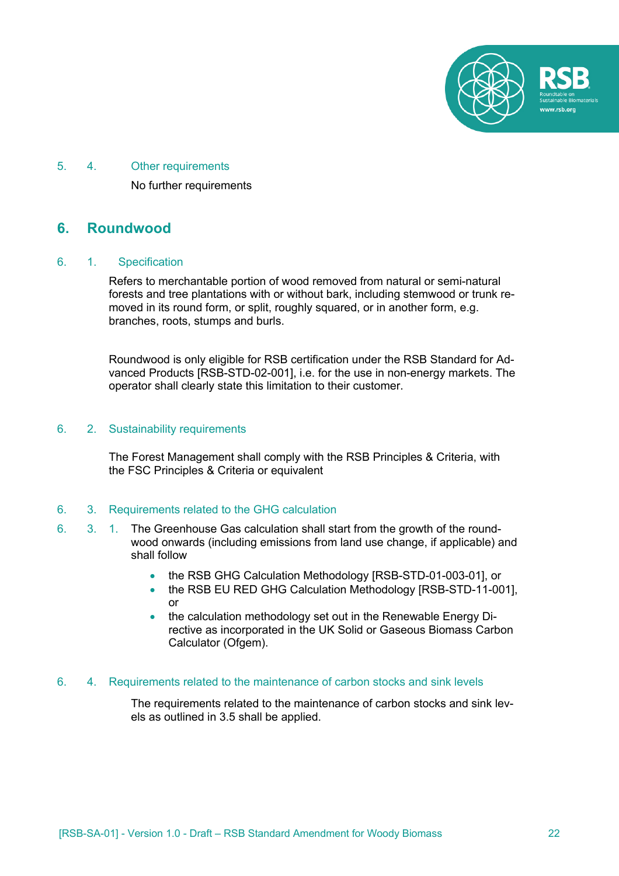

# 5. 4. Other requirements

No further requirements

# **6. Roundwood**

#### 6. 1. Specification

Refers to merchantable portion of wood removed from natural or semi-natural forests and tree plantations with or without bark, including stemwood or trunk removed in its round form, or split, roughly squared, or in another form, e.g. branches, roots, stumps and burls.

Roundwood is only eligible for RSB certification under the RSB Standard for Advanced Products [RSB-STD-02-001], i.e. for the use in non-energy markets. The operator shall clearly state this limitation to their customer.

#### 6. 2. Sustainability requirements

The Forest Management shall comply with the RSB Principles & Criteria, with the FSC Principles & Criteria or equivalent

#### 6. 3. Requirements related to the GHG calculation

- 6. 3. 1. The Greenhouse Gas calculation shall start from the growth of the roundwood onwards (including emissions from land use change, if applicable) and shall follow
	- the RSB GHG Calculation Methodology [RSB-STD-01-003-01], or
	- the RSB EU RED GHG Calculation Methodology [RSB-STD-11-001], or
	- the calculation methodology set out in the Renewable Energy Directive as incorporated in the UK Solid or Gaseous Biomass Carbon Calculator (Ofgem).

#### 6. 4. Requirements related to the maintenance of carbon stocks and sink levels

The requirements related to the maintenance of carbon stocks and sink levels as outlined in 3.5 shall be applied.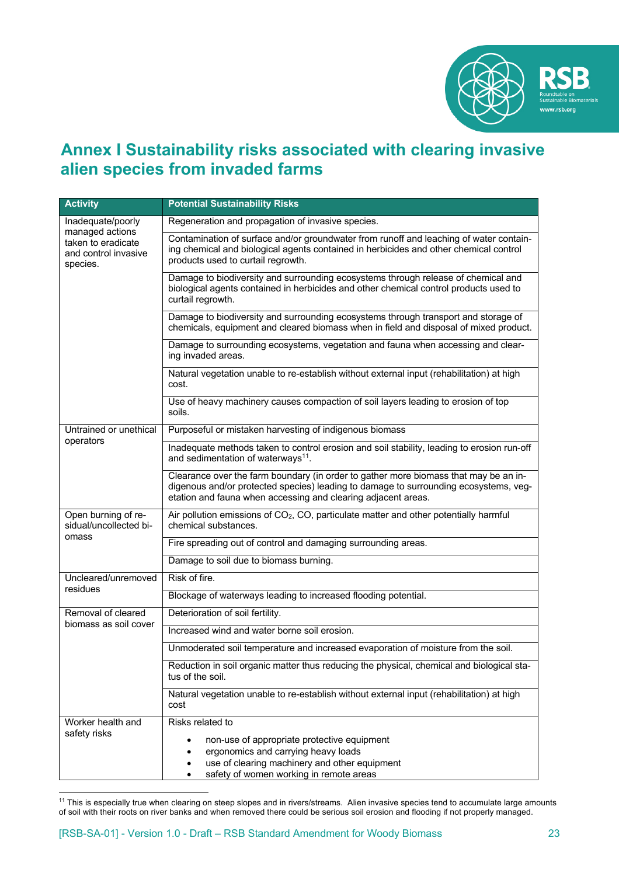

# **Annex I Sustainability risks associated with clearing invasive alien species from invaded farms**

| <b>Activity</b>                                                           | <b>Potential Sustainability Risks</b>                                                                                                                                                                                                         |  |  |  |  |
|---------------------------------------------------------------------------|-----------------------------------------------------------------------------------------------------------------------------------------------------------------------------------------------------------------------------------------------|--|--|--|--|
| Inadequate/poorly                                                         | Regeneration and propagation of invasive species.                                                                                                                                                                                             |  |  |  |  |
| managed actions<br>taken to eradicate<br>and control invasive<br>species. | Contamination of surface and/or groundwater from runoff and leaching of water contain-<br>ing chemical and biological agents contained in herbicides and other chemical control<br>products used to curtail regrowth.                         |  |  |  |  |
|                                                                           | Damage to biodiversity and surrounding ecosystems through release of chemical and<br>biological agents contained in herbicides and other chemical control products used to<br>curtail regrowth.                                               |  |  |  |  |
|                                                                           | Damage to biodiversity and surrounding ecosystems through transport and storage of<br>chemicals, equipment and cleared biomass when in field and disposal of mixed product.                                                                   |  |  |  |  |
|                                                                           | Damage to surrounding ecosystems, vegetation and fauna when accessing and clear-<br>ing invaded areas.                                                                                                                                        |  |  |  |  |
|                                                                           | Natural vegetation unable to re-establish without external input (rehabilitation) at high<br>cost.                                                                                                                                            |  |  |  |  |
|                                                                           | Use of heavy machinery causes compaction of soil layers leading to erosion of top<br>soils.                                                                                                                                                   |  |  |  |  |
| Untrained or unethical<br>operators                                       | Purposeful or mistaken harvesting of indigenous biomass                                                                                                                                                                                       |  |  |  |  |
|                                                                           | Inadequate methods taken to control erosion and soil stability, leading to erosion run-off<br>and sedimentation of waterways <sup>11</sup> .                                                                                                  |  |  |  |  |
|                                                                           | Clearance over the farm boundary (in order to gather more biomass that may be an in-<br>digenous and/or protected species) leading to damage to surrounding ecosystems, veg-<br>etation and fauna when accessing and clearing adjacent areas. |  |  |  |  |
| Open burning of re-<br>sidual/uncollected bi-                             | Air pollution emissions of CO <sub>2</sub> , CO, particulate matter and other potentially harmful<br>chemical substances.                                                                                                                     |  |  |  |  |
| omass                                                                     | Fire spreading out of control and damaging surrounding areas.                                                                                                                                                                                 |  |  |  |  |
|                                                                           | Damage to soil due to biomass burning.                                                                                                                                                                                                        |  |  |  |  |
| Uncleared/unremoved                                                       | Risk of fire.                                                                                                                                                                                                                                 |  |  |  |  |
| residues                                                                  | Blockage of waterways leading to increased flooding potential.                                                                                                                                                                                |  |  |  |  |
| Removal of cleared                                                        | Deterioration of soil fertility.                                                                                                                                                                                                              |  |  |  |  |
| biomass as soil cover                                                     | Increased wind and water borne soil erosion.                                                                                                                                                                                                  |  |  |  |  |
|                                                                           | Unmoderated soil temperature and increased evaporation of moisture from the soil.                                                                                                                                                             |  |  |  |  |
|                                                                           | Reduction in soil organic matter thus reducing the physical, chemical and biological sta-<br>tus of the soil.                                                                                                                                 |  |  |  |  |
|                                                                           | Natural vegetation unable to re-establish without external input (rehabilitation) at high<br>cost                                                                                                                                             |  |  |  |  |
| Worker health and                                                         | Risks related to                                                                                                                                                                                                                              |  |  |  |  |
| safety risks                                                              | non-use of appropriate protective equipment<br>ergonomics and carrying heavy loads<br>use of clearing machinery and other equipment<br>safety of women working in remote areas                                                                |  |  |  |  |

<sup>&</sup>lt;sup>11</sup> This is especially true when clearing on steep slopes and in rivers/streams. Alien invasive species tend to accumulate large amounts of soil with their roots on river banks and when removed there could be serious soil erosion and flooding if not properly managed.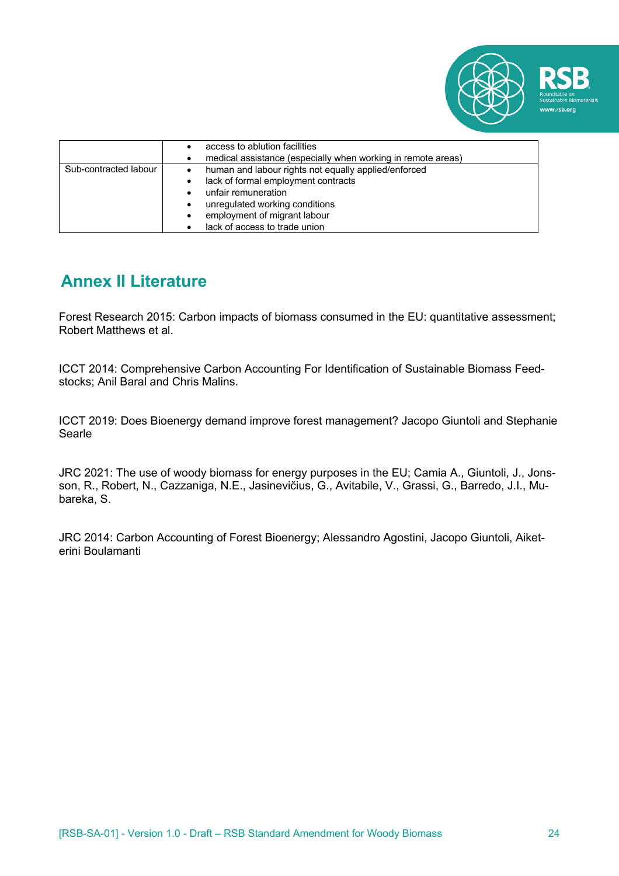

|                       | access to ablution facilities<br>medical assistance (especially when working in remote areas)            |
|-----------------------|----------------------------------------------------------------------------------------------------------|
| Sub-contracted labour | human and labour rights not equally applied/enforced<br>$\bullet$<br>lack of formal employment contracts |
|                       | unfair remuneration<br>unregulated working conditions<br>employment of migrant labour                    |
|                       | lack of access to trade union                                                                            |

# **Annex II Literature**

Forest Research 2015: Carbon impacts of biomass consumed in the EU: quantitative assessment; Robert Matthews et al.

ICCT 2014: Comprehensive Carbon Accounting For Identification of Sustainable Biomass Feedstocks; Anil Baral and Chris Malins.

ICCT 2019: Does Bioenergy demand improve forest management? Jacopo Giuntoli and Stephanie Searle

JRC 2021: The use of woody biomass for energy purposes in the EU; Camia A., Giuntoli, J., Jonsson, R., Robert, N., Cazzaniga, N.E., Jasinevičius, G., Avitabile, V., Grassi, G., Barredo, J.I., Mubareka, S.

JRC 2014: Carbon Accounting of Forest Bioenergy; Alessandro Agostini, Jacopo Giuntoli, Aiketerini Boulamanti